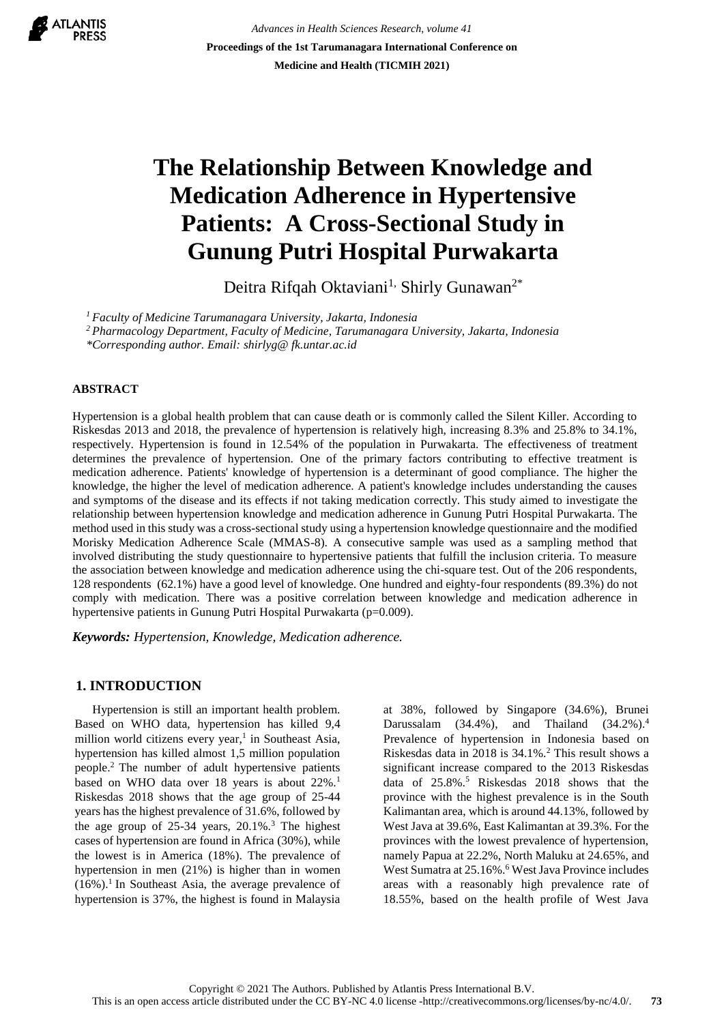

*Advances in Health Sciences Research, volume 41* **Proceedings of the 1st Tarumanagara International Conference on Medicine and Health (TICMIH 2021)**

# **The Relationship Between Knowledge and Medication Adherence in Hypertensive Patients: A Cross-Sectional Study in Gunung Putri Hospital Purwakarta**

Deitra Rifqah Oktaviani<sup>1,</sup> Shirly Gunawan<sup>2\*</sup>

*<sup>1</sup>Faculty of Medicine Tarumanagara University, Jakarta, Indonesia*

*<sup>2</sup>Pharmacology Department, Faculty of Medicine, Tarumanagara University, Jakarta, Indonesia*

*\*Corresponding author. Email: [shirlyg@ fk.untar.ac.id](mailto:shirlyg@fk.untar.ac.id)*

#### **ABSTRACT**

Hypertension is a global health problem that can cause death or is commonly called the Silent Killer. According to Riskesdas 2013 and 2018, the prevalence of hypertension is relatively high, increasing 8.3% and 25.8% to 34.1%, respectively. Hypertension is found in 12.54% of the population in Purwakarta. The effectiveness of treatment determines the prevalence of hypertension. One of the primary factors contributing to effective treatment is medication adherence. Patients' knowledge of hypertension is a determinant of good compliance. The higher the knowledge, the higher the level of medication adherence. A patient's knowledge includes understanding the causes and symptoms of the disease and its effects if not taking medication correctly. This study aimed to investigate the relationship between hypertension knowledge and medication adherence in Gunung Putri Hospital Purwakarta. The method used in this study was a cross-sectional study using a hypertension knowledge questionnaire and the modified Morisky Medication Adherence Scale (MMAS-8). A consecutive sample was used as a sampling method that involved distributing the study questionnaire to hypertensive patients that fulfill the inclusion criteria. To measure the association between knowledge and medication adherence using the chi-square test. Out of the 206 respondents, 128 respondents (62.1%) have a good level of knowledge. One hundred and eighty-four respondents (89.3%) do not comply with medication. There was a positive correlation between knowledge and medication adherence in hypertensive patients in Gunung Putri Hospital Purwakarta (p=0.009).

*Keywords: Hypertension, Knowledge, Medication adherence.*

## **1. INTRODUCTION**

Hypertension is still an important health problem. Based on WHO data, hypertension has killed 9,4 million world citizens every year, 1 in Southeast Asia, hypertension has killed almost 1,5 million population people.<sup>2</sup>The number of adult hypertensive patients based on WHO data over 18 years is about 22%.<sup>1</sup> Riskesdas 2018 shows that the age group of 25-44 years has the highest prevalence of 31.6%, followed by the age group of  $25-34$  years,  $20.1\%$ .<sup>3</sup> The highest cases of hypertension are found in Africa (30%), while the lowest is in America (18%). The prevalence of hypertension in men (21%) is higher than in women  $(16\%)$ .<sup>1</sup> In Southeast Asia, the average prevalence of hypertension is 37%, the highest is found in Malaysia

at 38%, followed by Singapore (34.6%), Brunei Darussalam  $(34.4\%)$ , and Thailand  $(34.2\%)$ <sup>4</sup> Prevalence of hypertension in Indonesia based on Riskesdas data in 2018 is  $34.1\%$ .<sup>2</sup> This result shows a significant increase compared to the 2013 Riskesdas data of 25.8%.<sup>5</sup> Riskesdas 2018 shows that the province with the highest prevalence is in the South Kalimantan area, which is around 44.13%, followed by West Java at 39.6%, East Kalimantan at 39.3%. For the provinces with the lowest prevalence of hypertension, namely Papua at 22.2%, North Maluku at 24.65%, and West Sumatra at 25.16%.<sup>6</sup> West Java Province includes areas with a reasonably high prevalence rate of 18.55%, based on the health profile of West Java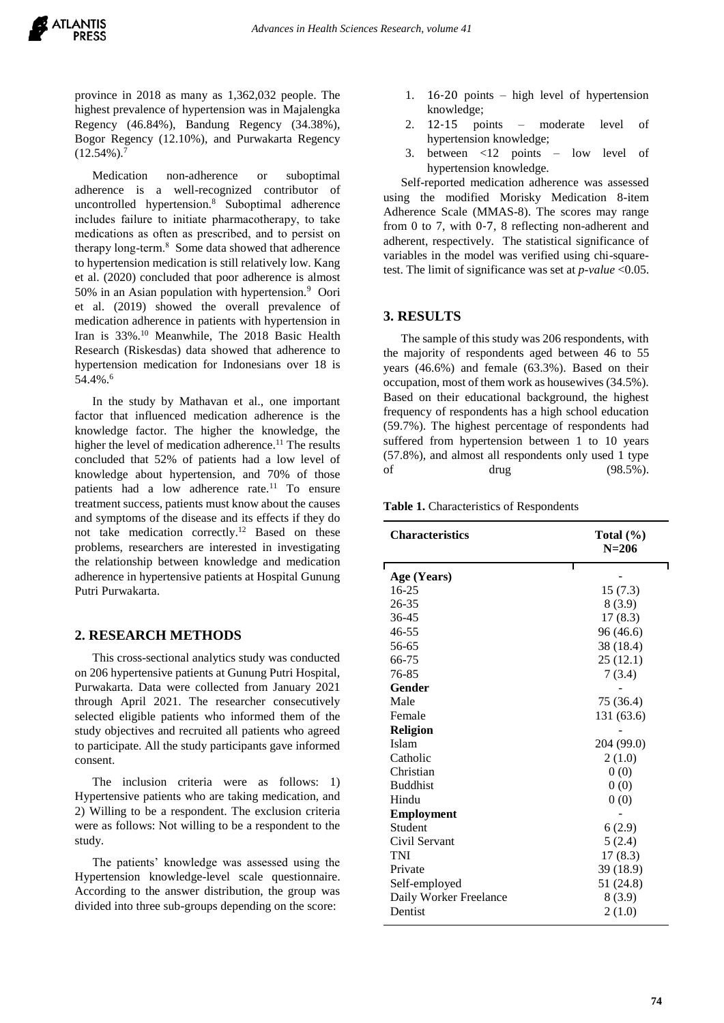province in 2018 as many as 1,362,032 people. The highest prevalence of hypertension was in Majalengka Regency (46.84%), Bandung Regency (34.38%), Bogor Regency (12.10%), and Purwakarta Regency  $(12.54\%)$ .<sup>7</sup>

Medication non-adherence or suboptimal adherence is a well-recognized contributor of uncontrolled hypertension.<sup>8</sup> Suboptimal adherence includes failure to initiate pharmacotherapy, to take medications as often as prescribed, and to persist on therapy long-term.<sup>8</sup> Some data showed that adherence to hypertension medication is still relatively low. Kang et al. (2020) concluded that poor adherence is almost 50% in an Asian population with hypertension.<sup>9</sup> Oori et al. (2019) showed the overall prevalence of medication adherence in patients with hypertension in Iran is 33%.<sup>10</sup> Meanwhile, The 2018 Basic Health Research (Riskesdas) data showed that adherence to hypertension medication for Indonesians over 18 is 54.4%.<sup>6</sup>

In the study by Mathavan et al., one important factor that influenced medication adherence is the knowledge factor. The higher the knowledge, the higher the level of medication adherence.<sup>11</sup> The results concluded that 52% of patients had a low level of knowledge about hypertension, and 70% of those patients had a low adherence rate.<sup>11</sup> To ensure treatment success, patients must know about the causes and symptoms of the disease and its effects if they do not take medication correctly. <sup>12</sup> Based on these problems, researchers are interested in investigating the relationship between knowledge and medication adherence in hypertensive patients at Hospital Gunung Putri Purwakarta.

# **2. RESEARCH METHODS**

This cross-sectional analytics study was conducted on 206 hypertensive patients at Gunung Putri Hospital, Purwakarta. Data were collected from January 2021 through April 2021. The researcher consecutively selected eligible patients who informed them of the study objectives and recruited all patients who agreed to participate. All the study participants gave informed consent.

The inclusion criteria were as follows: 1) Hypertensive patients who are taking medication, and 2) Willing to be a respondent. The exclusion criteria were as follows: Not willing to be a respondent to the study.

The patients' knowledge was assessed using the Hypertension knowledge-level scale questionnaire. According to the answer distribution, the group was divided into three sub-groups depending on the score:

- 1. 16-20 points high level of hypertension knowledge;
- 2. 12-15 points moderate level of hypertension knowledge;
- 3. between <12 points low level of hypertension knowledge.

Self-reported medication adherence was assessed using the modified Morisky Medication 8-item Adherence Scale (MMAS-8). The scores may range from 0 to 7, with 0-7, 8 reflecting non-adherent and adherent, respectively. The statistical significance of variables in the model was verified using chi-squaretest. The limit of significance was set at *p-value* <0.05.

#### **3. RESULTS**

The sample of this study was 206 respondents, with the majority of respondents aged between 46 to 55 years (46.6%) and female (63.3%). Based on their occupation, most of them work as housewives (34.5%). Based on their educational background, the highest frequency of respondents has a high school education (59.7%). The highest percentage of respondents had suffered from hypertension between 1 to 10 years (57.8%), and almost all respondents only used 1 type of drug  $(98.5\%)$ .

**Table 1.** Characteristics of Respondents

| <b>Characteristics</b> | Total $(\% )$<br>$N = 206$ |  |
|------------------------|----------------------------|--|
| Age (Years)            |                            |  |
| $16 - 25$              | 15(7.3)                    |  |
| 26-35                  | 8(3.9)                     |  |
| $36 - 45$              | 17(8.3)                    |  |
| 46-55                  | 96 (46.6)                  |  |
| 56-65                  | 38 (18.4)                  |  |
| 66-75                  | 25(12.1)                   |  |
| 76-85                  | 7(3.4)                     |  |
| Gender                 |                            |  |
| Male                   | 75 (36.4)                  |  |
| Female                 | 131 (63.6)                 |  |
| <b>Religion</b>        |                            |  |
| Islam                  | 204 (99.0)                 |  |
| Catholic               | 2(1.0)                     |  |
| Christian              | 0(0)                       |  |
| <b>Buddhist</b>        | 0(0)                       |  |
| Hindu                  | 0(0)                       |  |
| <b>Employment</b>      |                            |  |
| Student                | 6(2.9)                     |  |
| Civil Servant          | 5(2.4)                     |  |
| <b>TNI</b>             | 17(8.3)                    |  |
| Private                | 39 (18.9)                  |  |
| Self-employed          | 51 (24.8)                  |  |
| Daily Worker Freelance | 8(3.9)                     |  |
| Dentist                | 2(1.0)                     |  |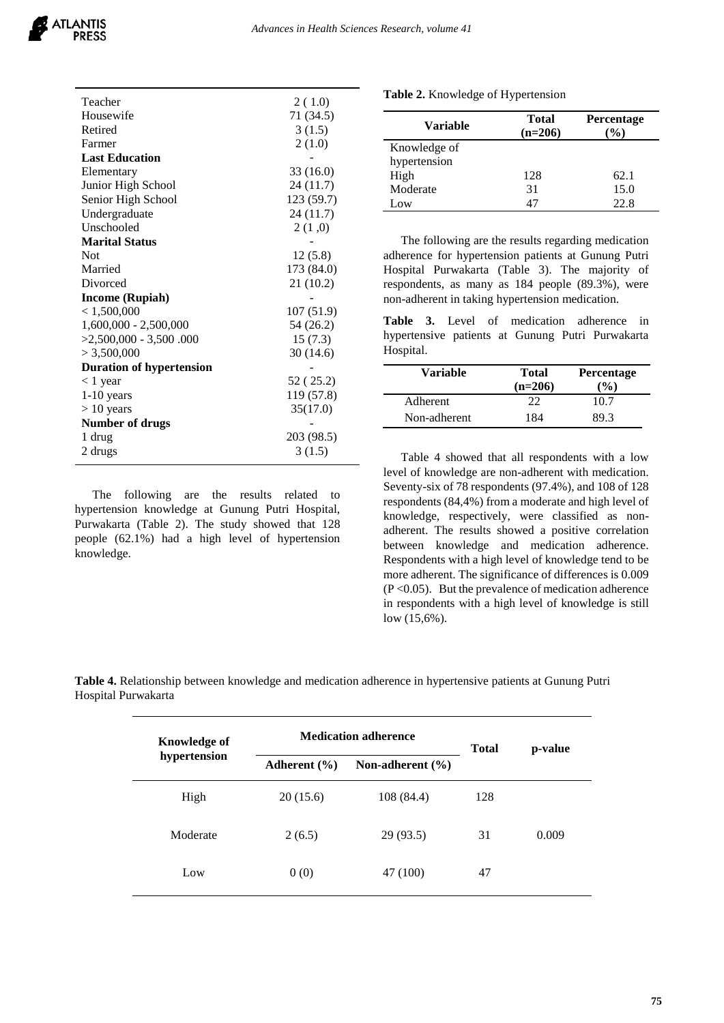

| Teacher                         | 2(1.0)     |
|---------------------------------|------------|
| Housewife                       | 71 (34.5)  |
| Retired                         | 3(1.5)     |
| Farmer                          | 2(1.0)     |
| <b>Last Education</b>           |            |
| Elementary                      | 33 (16.0)  |
| Junior High School              | 24 (11.7)  |
| Senior High School              | 123 (59.7) |
| Undergraduate                   | 24 (11.7)  |
| Unschooled                      | 2(1,0)     |
| <b>Marital Status</b>           |            |
| Not                             | 12(5.8)    |
| Married                         | 173 (84.0) |
| Divorced                        | 21 (10.2)  |
| <b>Income (Rupiah)</b>          |            |
| < 1,500,000                     | 107(51.9)  |
| $1,600,000 - 2,500,000$         | 54 (26.2)  |
| $>2,500,000 - 3,500.000$        | 15(7.3)    |
| > 3,500,000                     | 30(14.6)   |
| <b>Duration of hypertension</b> |            |
| $<$ 1 year                      | 52 (25.2)  |
| $1-10$ years                    | 119 (57.8) |
| $> 10$ years                    | 35(17.0)   |
| <b>Number of drugs</b>          |            |
| 1 drug                          | 203 (98.5) |
| 2 drugs                         | 3(1.5)     |

The following are the results related to hypertension knowledge at Gunung Putri Hospital, Purwakarta (Table 2). The study showed that 128 people (62.1%) had a high level of hypertension knowledge.

| Table 2. Knowledge of Hypertension |  |  |  |  |  |
|------------------------------------|--|--|--|--|--|
|------------------------------------|--|--|--|--|--|

| <b>Variable</b> | <b>Total</b><br>$(n=206)$ | <b>Percentage</b><br>$\frac{9}{0}$ |
|-----------------|---------------------------|------------------------------------|
| Knowledge of    |                           |                                    |
| hypertension    |                           |                                    |
| High            | 128                       | 62.1                               |
| Moderate        | 31                        | 15.0                               |
| .0W             | 47                        | 22.8                               |

The following are the results regarding medication adherence for hypertension patients at Gunung Putri Hospital Purwakarta (Table 3). The majority of respondents, as many as 184 people (89.3%), were non-adherent in taking hypertension medication.

**Table 3.** Level of medication adherence in hypertensive patients at Gunung Putri Purwakarta Hospital.

| Variable        | <b>Total</b><br>$(n=206)$ | <b>Percentage</b><br>$($ %) |
|-----------------|---------------------------|-----------------------------|
| <b>Adherent</b> | つつ                        | 10.7                        |
| Non-adherent    | 184                       | 89.3                        |

Table 4 showed that all respondents with a low level of knowledge are non-adherent with medication. Seventy-six of 78 respondents (97.4%), and 108 of 128 respondents (84,4%) from a moderate and high level of knowledge, respectively, were classified as nonadherent. The results showed a positive correlation between knowledge and medication adherence. Respondents with a high level of knowledge tend to be more adherent. The significance of differences is 0.009  $(P<0.05)$ . But the prevalence of medication adherence in respondents with a high level of knowledge is still low (15,6%).

**Table 4.** Relationship between knowledge and medication adherence in hypertensive patients at Gunung Putri Hospital Purwakarta

| Knowledge of | <b>Medication adherence</b> |                      | <b>Total</b> | p-value |
|--------------|-----------------------------|----------------------|--------------|---------|
| hypertension | Adherent $(\% )$            | Non-adherent $(\% )$ |              |         |
| High         | 20(15.6)                    | 108 (84.4)           | 128          |         |
| Moderate     | 2(6.5)                      | 29 (93.5)            | 31           | 0.009   |
| Low          | 0(0)                        | 47 (100)             | 47           |         |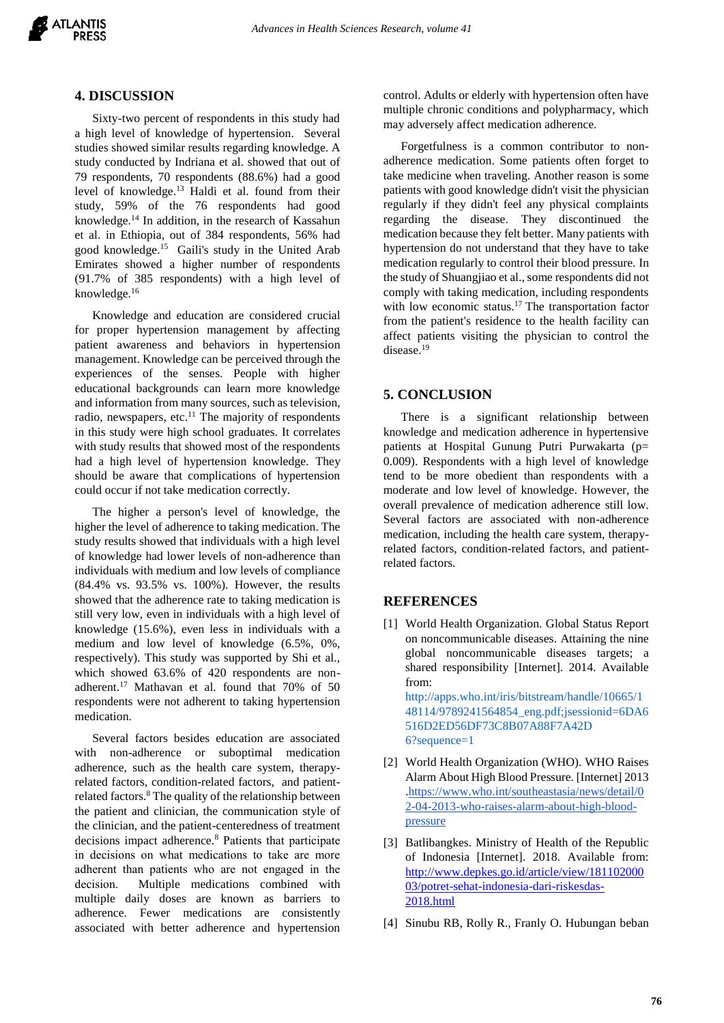

#### **4. DISCUSSION**

Sixty-two percent of respondents in this study had a high level of knowledge of hypertension. Several studies showed similar results regarding knowledge. A study conducted by Indriana et al. showed that out of 79 respondents, 70 respondents (88.6%) had a good level of knowledge. <sup>13</sup> Haldi et al. found from their study, 59% of the 76 respondents had good knowledge.<sup>14</sup> In addition, in the research of Kassahun et al. in Ethiopia, out of 384 respondents, 56% had good knowledge. <sup>15</sup> Gaili's study in the United Arab Emirates showed a higher number of respondents (91.7% of 385 respondents) with a high level of knowledge.<sup>16</sup>

Knowledge and education are considered crucial for proper hypertension management by affecting patient awareness and behaviors in hypertension management. Knowledge can be perceived through the experiences of the senses. People with higher educational backgrounds can learn more knowledge and information from many sources, such as television, radio, newspapers, etc.<sup>11</sup> The majority of respondents in this study were high school graduates. It correlates with study results that showed most of the respondents had a high level of hypertension knowledge. They should be aware that complications of hypertension could occur if not take medication correctly.

The higher a person's level of knowledge, the higher the level of adherence to taking medication. The study results showed that individuals with a high level of knowledge had lower levels of non-adherence than individuals with medium and low levels of compliance (84.4% vs. 93.5% vs. 100%). However, the results showed that the adherence rate to taking medication is still very low, even in individuals with a high level of knowledge (15.6%), even less in individuals with a medium and low level of knowledge (6.5%, 0%, respectively). This study was supported by Shi et al., which showed 63.6% of 420 respondents are nonadherent.<sup>17</sup> Mathavan et al. found that 70% of 50 respondents were not adherent to taking hypertension medication.

Several factors besides education are associated with non-adherence or suboptimal medication adherence, such as the health care system, therapyrelated factors, condition-related factors, and patientrelated factors.<sup>8</sup> The quality of the relationship between the patient and clinician, the communication style of the clinician, and the patient-centeredness of treatment decisions impact adherence.<sup>8</sup> Patients that participate in decisions on what medications to take are more adherent than patients who are not engaged in the decision. Multiple medications combined with multiple daily doses are known as barriers to adherence. Fewer medications are consistently associated with better adherence and hypertension

control. Adults or elderly with hypertension often have multiple chronic conditions and polypharmacy, which may adversely affect medication adherence.

Forgetfulness is a common contributor to nonadherence medication. Some patients often forget to take medicine when traveling. Another reason is some patients with good knowledge didn't visit the physician regularly if they didn't feel any physical complaints regarding the disease. They discontinued the medication because they felt better. Many patients with hypertension do not understand that they have to take medication regularly to control their blood pressure. In the study of Shuangjiao et al., some respondents did not comply with taking medication, including respondents with low economic status.<sup>17</sup> The transportation factor from the patient's residence to the health facility can affect patients visiting the physician to control the disease. 19

### **5. CONCLUSION**

There is a significant relationship between knowledge and medication adherence in hypertensive patients at Hospital Gunung Putri Purwakarta (p= 0.009). Respondents with a high level of knowledge tend to be more obedient than respondents with a moderate and low level of knowledge. However, the overall prevalence of medication adherence still low. Several factors are associated with non-adherence medication, including the health care system, therapyrelated factors, condition-related factors, and patientrelated factors.

#### **REFERENCES**

[1] World Health Organization. Global Status Report on noncommunicable diseases. Attaining the nine global noncommunicable diseases targets; a shared responsibility [Internet]. 2014. Available from: http://apps.who.int/iris/bitstream/handle/10665/1 48114/9789241564854\_eng.pdf;jsessionid=6DA6 516D2ED56DF73C8B07A88F7A42D

6?sequence=1

- [2] World Health Organization (WHO). WHO Raises Alarm About High Blood Pressure. [Internet] 2013 [.https://www.who.int/southeastasia/news/detail/0](https://www.who.int/southeastasia/news/detail/02-04-2013-who-raises-alarm-about-high-blood-pressure) [2-04-2013-who-raises-alarm-about-high-blood](https://www.who.int/southeastasia/news/detail/02-04-2013-who-raises-alarm-about-high-blood-pressure)[pressure](https://www.who.int/southeastasia/news/detail/02-04-2013-who-raises-alarm-about-high-blood-pressure)
- [3] Batlibangkes. Ministry of Health of the Republic of Indonesia [Internet]. 2018. Available from: [http://www.depkes.go.id/article/view/181102000](http://www.depkes.go.id/article/view/18110200003/potret-sehat-indonesia-dari-riskesdas-%202018.html) [03/potret-sehat-indonesia-dari-riskesdas-](http://www.depkes.go.id/article/view/18110200003/potret-sehat-indonesia-dari-riskesdas-%202018.html)[2018.html](http://www.depkes.go.id/article/view/18110200003/potret-sehat-indonesia-dari-riskesdas-%202018.html)
- [4] Sinubu RB, Rolly R., Franly O. Hubungan beban